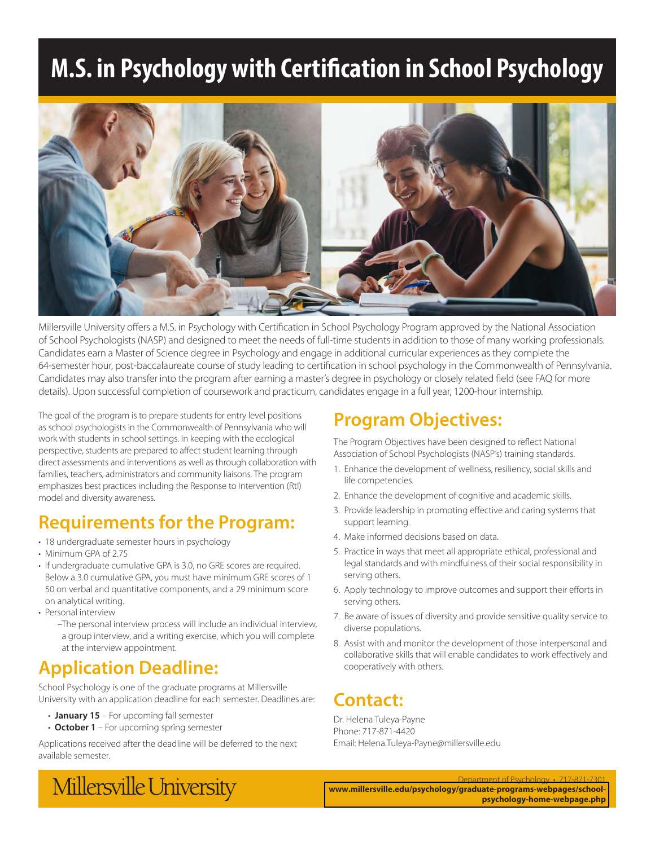# **M.S. in Psychology with Certification in School Psychology**



Millersville University offers a M.S. in Psychology with Certification in School Psychology Program approved by the National Association of School Psychologists (NASP) and designed to meet the needs of full-time students in addition to those of many working professionals. Candidates earn a Master of Science degree in Psychology and engage in additional curricular experiences as they complete the 64-semester hour, post-baccalaureate course of study leading to certification in school psychology in the Commonwealth of Pennsylvania. Candidates may also transfer into the program after earning a master's degree in psychology or closely related field (see FAQ for more details). Upon successful completion of coursework and practicum, candidates engage in a full year, 1200-hour internship.

The goal of the program is to prepare students for entry level positions as school psychologists in the Commonwealth of Pennsylvania who will work with students in school settings. In keeping with the ecological perspective, students are prepared to affect student learning through direct assessments and interventions as well as through collaboration with families, teachers, administrators and community liaisons. The program emphasizes best practices including the Response to Intervention (RtI) model and diversity awareness.

### **Requirements for the Program:**

- 18 undergraduate semester hours in psychology
- Minimum GPA of 2.75
- If undergraduate cumulative GPA is 3.0, no GRE scores are required. Below a 3.0 cumulative GPA, you must have minimum GRE scores of 1 50 on verbal and quantitative components, and a 29 minimum score on analytical writing.
- Personal interview
	- –The personal interview process will include an individual interview, a group interview, and a writing exercise, which you will complete at the interview appointment.

### **Application Deadline:**

School Psychology is one of the graduate programs at Millersville University with an application deadline for each semester. Deadlines are:

- **January 15** For upcoming fall semester
- **October 1** For upcoming spring semester

Applications received after the deadline will be deferred to the next available semester.

### **Program Objectives:**

The Program Objectives have been designed to reflect National Association of School Psychologists (NASP's) training standards.

- 1. Enhance the development of wellness, resiliency, social skills and life competencies.
- 2. Enhance the development of cognitive and academic skills.
- 3. Provide leadership in promoting effective and caring systems that support learning.
- 4. Make informed decisions based on data.
- 5. Practice in ways that meet all appropriate ethical, professional and legal standards and with mindfulness of their social responsibility in serving others.
- 6. Apply technology to improve outcomes and support their efforts in serving others.
- 7. Be aware of issues of diversity and provide sensitive quality service to diverse populations.
- 8. Assist with and monitor the development of those interpersonal and collaborative skills that will enable candidates to work effectively and cooperatively with others.

### **Contact:**

Dr. Helena Tuleya-Payne Phone: 717-871-4420 Email: Helena.Tuleya-Payne@millersville.edu

Millersville University